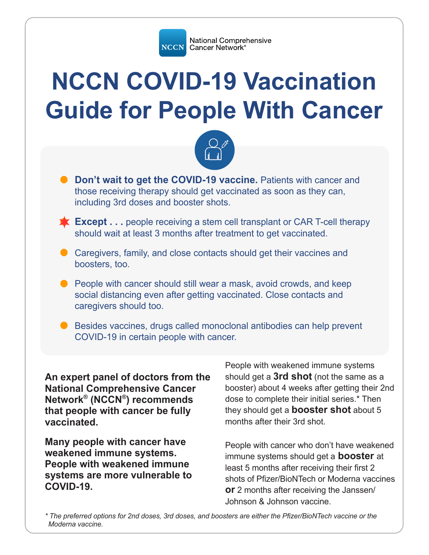

# **NCCN COVID-19 Vaccination Guide for People With Cancer**



- **O** Don't wait to get the COVID-19 vaccine. Patients with cancer and those receiving therapy should get vaccinated as soon as they can, including 3rd doses and booster shots.
- **Except . . .** people receiving a stem cell transplant or CAR T-cell therapy about the set vecessed should wait at least 3 months after treatment to get vaccinated.
- $\bullet$  Caregivers, family, and close contacts should get their vaccines and boosters, too.
- $\bullet$  People with cancer should still wear a mask, avoid crowds, and keep social distancing even after getting vaccinated. Close contacts and caregivers should too.
- $\bullet$  Besides vaccines, drugs called monoclonal antibodies can help prevent COVID-19 in certain people with cancer.

**An expert panel of doctors from the National Comprehensive Cancer Network® (NCCN®) recommends that people with cancer be fully vaccinated.** 

**Many people with cancer have weakened immune systems. People with weakened immune systems are more vulnerable to COVID-19.** 

People with weakened immune systems should get a **3rd shot** (not the same as a booster) about 4 weeks after getting their 2nd dose to complete their initial series.\* Then they should get a **booster shot** about 5 months after their 3rd shot.

People with cancer who don't have weakened immune systems should get a **booster** at least 5 months after receiving their first 2 shots of Pfizer/BioNTech or Moderna vaccines **or** 2 months after receiving the Janssen/ Johnson & Johnson vaccine.

*\* The preferred options for 2nd doses, 3rd doses, and boosters are either the Pfizer/BioNTech vaccine or the Moderna vaccine.*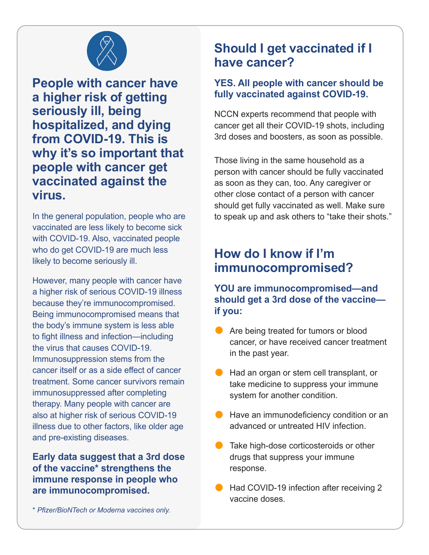

**People with cancer have a higher risk of getting seriously ill, being hospitalized, and dying from COVID-19. This is why it's so important that people with cancer get vaccinated against the virus.** 

In the general population, people who are vaccinated are less likely to become sick with COVID-19. Also, vaccinated people who do get COVID-19 are much less likely to become seriously ill.

However, many people with cancer have a higher risk of serious COVID-19 illness because they're immunocompromised. Being immunocompromised means that the body's immune system is less able to fight illness and infection—including the virus that causes COVID-19. Immunosuppression stems from the cancer itself or as a side effect of cancer treatment. Some cancer survivors remain immunosuppressed after completing therapy. Many people with cancer are also at higher risk of serious COVID-19 illness due to other factors, like older age and pre-existing diseases.

**Early data suggest that a 3rd dose of the vaccine\* strengthens the immune response in people who are immunocompromised.**

#### \* *Pfizer/BioNTech or Moderna vaccines only.*

## **Should I get vaccinated if I have cancer?**

#### **YES. All people with cancer should be fully vaccinated against COVID-19.**

NCCN experts recommend that people with cancer get all their COVID-19 shots, including 3rd doses and boosters, as soon as possible.

Those living in the same household as a person with cancer should be fully vaccinated as soon as they can, too. Any caregiver or other close contact of a person with cancer should get fully vaccinated as well. Make sure to speak up and ask others to "take their shots."

## **How do I know if I'm immunocompromised?**

#### **YOU are immunocompromised—and should get a 3rd dose of the vaccine if you:**

- Are being treated for tumors or blood cancer, or have received cancer treatment in the past year.
- Had an organ or stem cell transplant, or take medicine to suppress your immune system for another condition.
- $\bullet$  Have an immunodeficiency condition or an advanced or untreated HIV infection.
- Take high-dose corticosteroids or other drugs that suppress your immune response.
- Had COVID-19 infection after receiving 2 vaccine doses.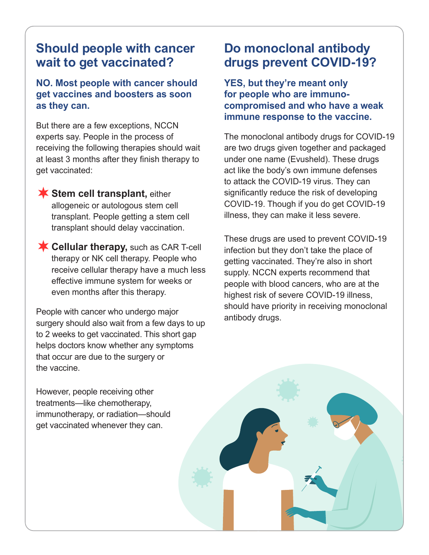## **Should people with cancer wait to get vaccinated?**

#### **NO. Most people with cancer should get vaccines and boosters as soon as they can.**

But there are a few exceptions, NCCN experts say. People in the process of receiving the following therapies should wait at least 3 months after they finish therapy to get vaccinated:

**Stem cell transplant,** either allogeneic or autologous stem cell transplant. People getting a stem cell transplant should delay vaccination.

**Cellular therapy, such as CAR T-cell** therapy or NK cell therapy. People who receive cellular therapy have a much less effective immune system for weeks or even months after this therapy.

People with cancer who undergo major surgery should also wait from a few days to up to 2 weeks to get vaccinated. This short gap helps doctors know whether any symptoms that occur are due to the surgery or the vaccine.

**Do monoclonal antibody drugs prevent COVID-19?**

**YES, but they're meant only for people who are immunocompromised and who have a weak immune response to the vaccine.** 

The monoclonal antibody drugs for COVID-19 are two drugs given together and packaged under one name (Evusheld). These drugs act like the body's own immune defenses to attack the COVID-19 virus. They can significantly reduce the risk of developing COVID-19. Though if you do get COVID-19 illness, they can make it less severe.

These drugs are used to prevent COVID-19 infection but they don't take the place of getting vaccinated. They're also in short supply. NCCN experts recommend that people with blood cancers, who are at the highest risk of severe COVID-19 illness, should have priority in receiving monoclonal antibody drugs.

However, people receiving other treatments—like chemotherapy, immunotherapy, or radiation—should get vaccinated whenever they can.